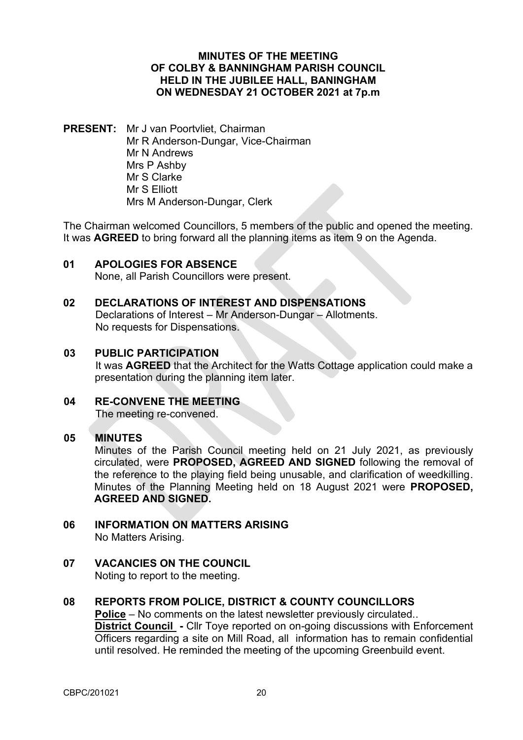## **MINUTES OF THE MEETING OF COLBY & BANNINGHAM PARISH COUNCIL HELD IN THE JUBILEE HALL, BANINGHAM ON WEDNESDAY 21 OCTOBER 2021 at 7p.m**

**PRESENT:** Mr J van Poortvliet, Chairman Mr R Anderson-Dungar, Vice-Chairman Mr N Andrews Mrs P Ashby Mr S Clarke Mr S Elliott Mrs M Anderson-Dungar, Clerk

The Chairman welcomed Councillors, 5 members of the public and opened the meeting. It was **AGREED** to bring forward all the planning items as item 9 on the Agenda.

**01 APOLOGIES FOR ABSENCE**  None, all Parish Councillors were present.

## **02 DECLARATIONS OF INTEREST AND DISPENSATIONS**

Declarations of Interest – Mr Anderson-Dungar – Allotments. No requests for Dispensations.

## **03 PUBLIC PARTICIPATION**

It was **AGREED** that the Architect for the Watts Cottage application could make a presentation during the planning item later.

**04 RE-CONVENE THE MEETING** The meeting re-convened.

## **05 MINUTES**

Minutes of the Parish Council meeting held on 21 July 2021, as previously circulated, were **PROPOSED, AGREED AND SIGNED** following the removal of the reference to the playing field being unusable, and clarification of weedkilling. Minutes of the Planning Meeting held on 18 August 2021 were **PROPOSED, AGREED AND SIGNED.**

- **06 INFORMATION ON MATTERS ARISING**  No Matters Arising.
- **07 VACANCIES ON THE COUNCIL** Noting to report to the meeting.

## **08 REPORTS FROM POLICE, DISTRICT & COUNTY COUNCILLORS Police** – No comments on the latest newsletter previously circulated.. **District Council -** Cllr Toye reported on on-going discussions with Enforcement

Officers regarding a site on Mill Road, all information has to remain confidential until resolved. He reminded the meeting of the upcoming Greenbuild event.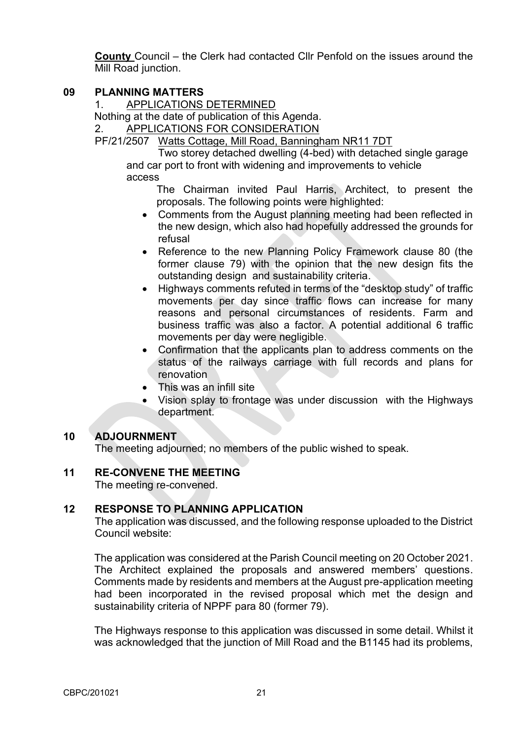**County** Council – the Clerk had contacted Cllr Penfold on the issues around the Mill Road junction.

## **09 PLANNING MATTERS**

1. APPLICATIONS DETERMINED

Nothing at the date of publication of this Agenda.

2. APPLICATIONS FOR CONSIDERATION

PF/21/2507 Watts Cottage, Mill Road, Banningham NR11 7DT

Two storey detached dwelling (4-bed) with detached single garage and car port to front with widening and improvements to vehicle access

The Chairman invited Paul Harris, Architect, to present the proposals. The following points were highlighted:

- Comments from the August planning meeting had been reflected in the new design, which also had hopefully addressed the grounds for refusal
- Reference to the new Planning Policy Framework clause 80 (the former clause 79) with the opinion that the new design fits the outstanding design and sustainability criteria.
- Highways comments refuted in terms of the "desktop study" of traffic movements per day since traffic flows can increase for many reasons and personal circumstances of residents. Farm and business traffic was also a factor. A potential additional 6 traffic movements per day were negligible.
- Confirmation that the applicants plan to address comments on the status of the railways carriage with full records and plans for renovation
- This was an infill site
- Vision splay to frontage was under discussion with the Highways department.

## **10 ADJOURNMENT**

The meeting adjourned; no members of the public wished to speak.

## **11 RE-CONVENE THE MEETING**

The meeting re-convened.

## **12 RESPONSE TO PLANNING APPLICATION**

The application was discussed, and the following response uploaded to the District Council website:

The application was considered at the Parish Council meeting on 20 October 2021. The Architect explained the proposals and answered members' questions. Comments made by residents and members at the August pre-application meeting had been incorporated in the revised proposal which met the design and sustainability criteria of NPPF para 80 (former 79).

The Highways response to this application was discussed in some detail. Whilst it was acknowledged that the junction of Mill Road and the B1145 had its problems,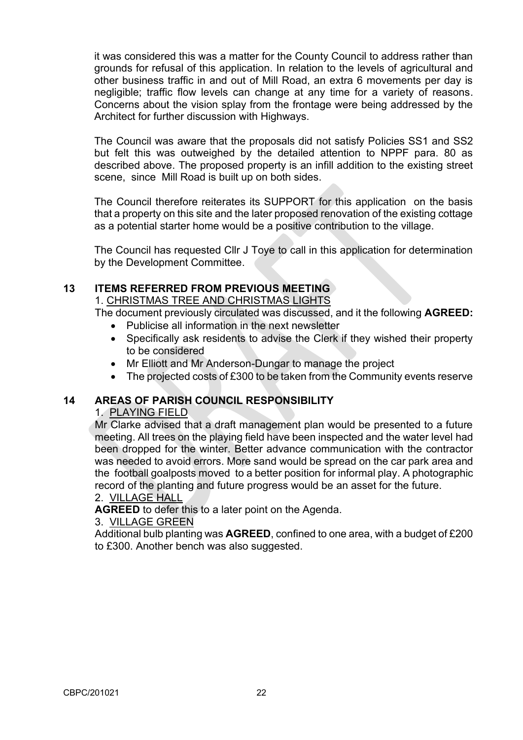it was considered this was a matter for the County Council to address rather than grounds for refusal of this application. In relation to the levels of agricultural and other business traffic in and out of Mill Road, an extra 6 movements per day is negligible; traffic flow levels can change at any time for a variety of reasons. Concerns about the vision splay from the frontage were being addressed by the Architect for further discussion with Highways.

The Council was aware that the proposals did not satisfy Policies SS1 and SS2 but felt this was outweighed by the detailed attention to NPPF para. 80 as described above. The proposed property is an infill addition to the existing street scene, since Mill Road is built up on both sides.

The Council therefore reiterates its SUPPORT for this application on the basis that a property on this site and the later proposed renovation of the existing cottage as a potential starter home would be a positive contribution to the village.

The Council has requested Cllr J Toye to call in this application for determination by the Development Committee.

## **13 ITEMS REFERRED FROM PREVIOUS MEETING**

1. CHRISTMAS TREE AND CHRISTMAS LIGHTS

The document previously circulated was discussed, and it the following **AGREED:**

- Publicise all information in the next newsletter
- Specifically ask residents to advise the Clerk if they wished their property to be considered
- Mr Elliott and Mr Anderson-Dungar to manage the project
- The projected costs of £300 to be taken from the Community events reserve

## **14 AREAS OF PARISH COUNCIL RESPONSIBILITY**

## 1. PLAYING FIELD

Mr Clarke advised that a draft management plan would be presented to a future meeting. All trees on the playing field have been inspected and the water level had been dropped for the winter. Better advance communication with the contractor was needed to avoid errors. More sand would be spread on the car park area and the football goalposts moved to a better position for informal play. A photographic record of the planting and future progress would be an asset for the future.

## 2. VILLAGE HALL

**AGREED** to defer this to a later point on the Agenda.

### 3. VILLAGE GREEN

Additional bulb planting was **AGREED**, confined to one area, with a budget of £200 to £300. Another bench was also suggested.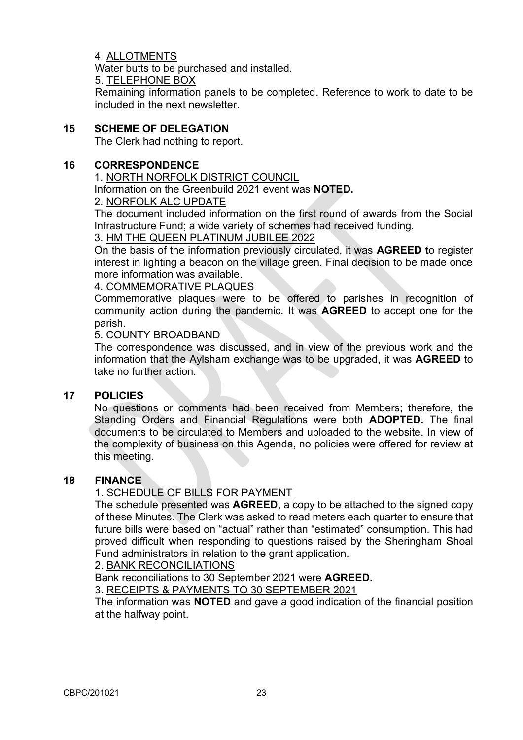## 4 ALLOTMENTS

Water butts to be purchased and installed.

5. TELEPHONE BOX

Remaining information panels to be completed. Reference to work to date to be included in the next newsletter.

## **15 SCHEME OF DELEGATION**

The Clerk had nothing to report.

## **16 CORRESPONDENCE**

## 1. NORTH NORFOLK DISTRICT COUNCIL

Information on the Greenbuild 2021 event was **NOTED.**

## 2. NORFOLK ALC UPDATE

The document included information on the first round of awards from the Social Infrastructure Fund; a wide variety of schemes had received funding.

## 3. HM THE QUEEN PLATINUM JUBILEE 2022

On the basis of the information previously circulated, it was **AGREED t**o register interest in lighting a beacon on the village green. Final decision to be made once more information was available.

## 4. COMMEMORATIVE PLAQUES

Commemorative plaques were to be offered to parishes in recognition of community action during the pandemic. It was **AGREED** to accept one for the parish.

## 5. COUNTY BROADBAND

The correspondence was discussed, and in view of the previous work and the information that the Aylsham exchange was to be upgraded, it was **AGREED** to take no further action.

## **17 POLICIES**

No questions or comments had been received from Members; therefore, the Standing Orders and Financial Regulations were both **ADOPTED.** The final documents to be circulated to Members and uploaded to the website. In view of the complexity of business on this Agenda, no policies were offered for review at this meeting.

## **18 FINANCE**

## 1. SCHEDULE OF BILLS FOR PAYMENT

The schedule presented was **AGREED,** a copy to be attached to the signed copy of these Minutes. The Clerk was asked to read meters each quarter to ensure that future bills were based on "actual" rather than "estimated" consumption. This had proved difficult when responding to questions raised by the Sheringham Shoal Fund administrators in relation to the grant application.

## 2. BANK RECONCILIATIONS

Bank reconciliations to 30 September 2021 were **AGREED.** 

3. RECEIPTS & PAYMENTS TO 30 SEPTEMBER 2021

The information was **NOTED** and gave a good indication of the financial position at the halfway point.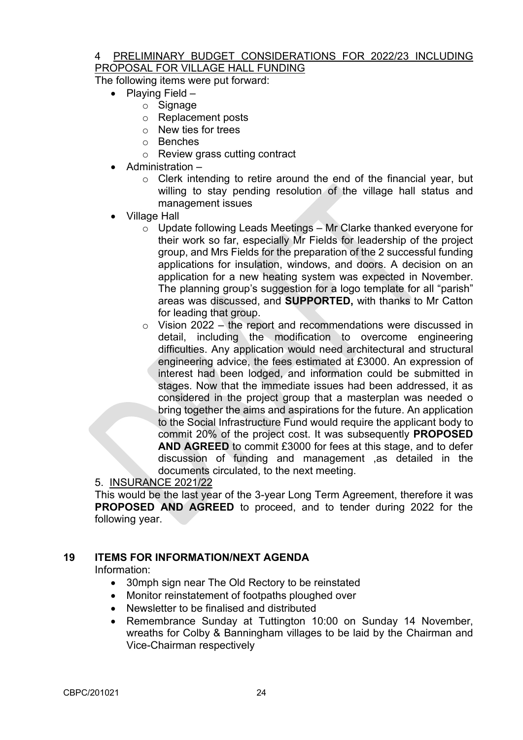## 4 PRELIMINARY BUDGET CONSIDERATIONS FOR 2022/23 INCLUDING PROPOSAL FOR VILLAGE HALL FUNDING

The following items were put forward:

- Playing Field
	- $\circ$  Signage
	- o Replacement posts
	- o New ties for trees
	- o Benches
	- o Review grass cutting contract
- Administration
	- o Clerk intending to retire around the end of the financial year, but willing to stay pending resolution of the village hall status and management issues
- Village Hall
	- o Update following Leads Meetings Mr Clarke thanked everyone for their work so far, especially Mr Fields for leadership of the project group, and Mrs Fields for the preparation of the 2 successful funding applications for insulation, windows, and doors. A decision on an application for a new heating system was expected in November. The planning group's suggestion for a logo template for all "parish" areas was discussed, and **SUPPORTED,** with thanks to Mr Catton for leading that group.
	- $\circ$  Vision 2022 the report and recommendations were discussed in detail, including the modification to overcome engineering difficulties. Any application would need architectural and structural engineering advice, the fees estimated at £3000. An expression of interest had been lodged, and information could be submitted in stages. Now that the immediate issues had been addressed, it as considered in the project group that a masterplan was needed o bring together the aims and aspirations for the future. An application to the Social Infrastructure Fund would require the applicant body to commit 20% of the project cost. It was subsequently **PROPOSED AND AGREED** to commit £3000 for fees at this stage, and to defer discussion of funding and management ,as detailed in the documents circulated, to the next meeting.

## 5. INSURANCE 2021/22

This would be the last year of the 3-year Long Term Agreement, therefore it was **PROPOSED AND AGREED** to proceed, and to tender during 2022 for the following year.

## **19 ITEMS FOR INFORMATION/NEXT AGENDA**

Information:

- 30mph sign near The Old Rectory to be reinstated
- Monitor reinstatement of footpaths ploughed over
- Newsletter to be finalised and distributed
- Remembrance Sunday at Tuttington 10:00 on Sunday 14 November, wreaths for Colby & Banningham villages to be laid by the Chairman and Vice-Chairman respectively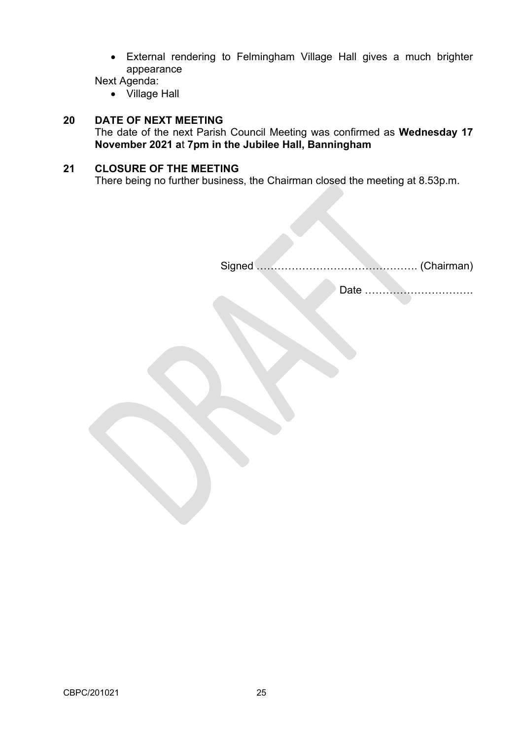• External rendering to Felmingham Village Hall gives a much brighter appearance

Next Agenda:

• Village Hall

## **20 DATE OF NEXT MEETING**

The date of the next Parish Council Meeting was confirmed as **Wednesday 17 November 2021 a**t **7pm in the Jubilee Hall, Banningham**

## **21 CLOSURE OF THE MEETING**

There being no further business, the Chairman closed the meeting at 8.53p.m.

Signed ………………………………………. (Chairman)

Date ………………………….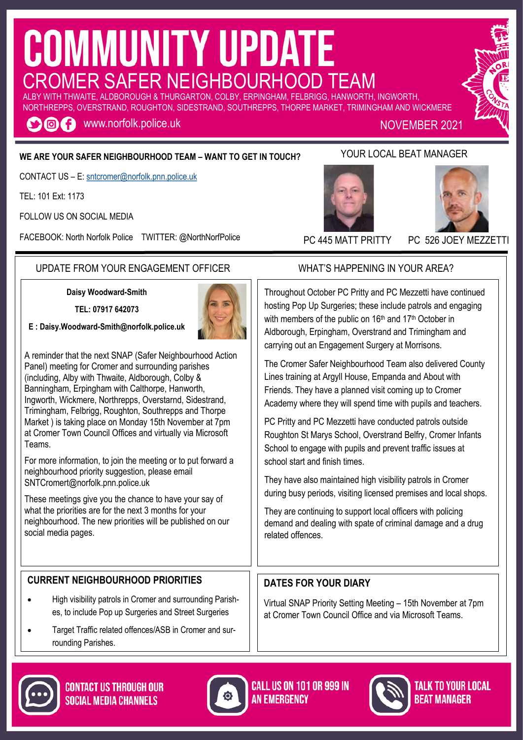# **COMMUNITY UPDATE** CROMER SAFER NEIGHBOURHOOD TEAM

ALBY WITH THWAITE, ALDBOROUGH & THURGARTON, COLBY, ERPINGHAM, FELBRIGG, HANWORTH, INGWORTH, NORTHREPPS, OVERSTRAND, ROUGHTON, SIDESTRAND, SOUTHREPPS, THORPE MARKET, TRIMINGHAM AND WICKMERE

**OOC** www.norfolk.police.uk

NOVEMBER 2021

## **WE ARE YOUR SAFER NEIGHBOURHOOD TEAM – WANT TO GET IN TOUCH?**

CONTACT US – E: [sntcromer@norfolk.pnn.police.uk](mailto:sntwells@norfolk.pnn.police.uk)

TEL: 101 Ext: 1173

FOLLOW US ON SOCIAL MEDIA

FACEBOOK: North Norfolk Police TWITTER: @NorthNorfPolice

## UPDATE FROM YOUR ENGAGEMENT OFFICER WHAT'S HAPPENING IN YOUR AREA?

**Daisy Woodward-Smith**

**TEL: 07917 642073**



A reminder that the next SNAP (Safer Neighbourhood Action Panel) meeting for Cromer and surrounding parishes (including, Alby with Thwaite, Aldborough, Colby & Banningham, Erpingham with Calthorpe, Hanworth, Ingworth, Wickmere, Northrepps, Overstarnd, Sidestrand, Trimingham, Felbrigg, Roughton, Southrepps and Thorpe Market ) is taking place on Monday 15th November at 7pm at Cromer Town Council Offices and virtually via Microsoft Teams.

For more information, to join the meeting or to put forward a neighbourhood priority suggestion, please email SNTCromert@norfolk.pnn.police.uk

These meetings give you the chance to have your say of what the priorities are for the next 3 months for your neighbourhood. The new priorities will be published on our social media pages.

## **CURRENT NEIGHBOURHOOD PRIORITIES**

- High visibility patrols in Cromer and surrounding Parishes, to include Pop up Surgeries and Street Surgeries
- Target Traffic related offences/ASB in Cromer and surrounding Parishes.

# related offences.

## **DATES FOR YOUR DIARY**

Virtual SNAP Priority Setting Meeting – 15th November at 7pm at Cromer Town Council Office and via Microsoft Teams.



The Cromer Safer Neighbourhood Team also delivered County Lines training at Argyll House, Empanda and About with Friends. They have a planned visit coming up to Cromer Academy where they will spend time with pupils and teachers.

PC Pritty and PC Mezzetti have conducted patrols outside Roughton St Marys School, Overstrand Belfry, Cromer Infants School to engage with pupils and prevent traffic issues at school start and finish times.

They have also maintained high visibility patrols in Cromer during busy periods, visiting licensed premises and local shops.

They are continuing to support local officers with policing demand and dealing with spate of criminal damage and a drug

# YOUR LOCAL BEAT MANAGER





PC 445 MATT PRITTY PC 526 JOEY MEZZETTI

Throughout October PC Pritty and PC Mezzetti have continued hosting Pop Up Surgeries; these include patrols and engaging

with members of the public on 16<sup>th</sup> and 17<sup>th</sup> October in









TALK TO YOUR LOCAL *REAT MANAGER*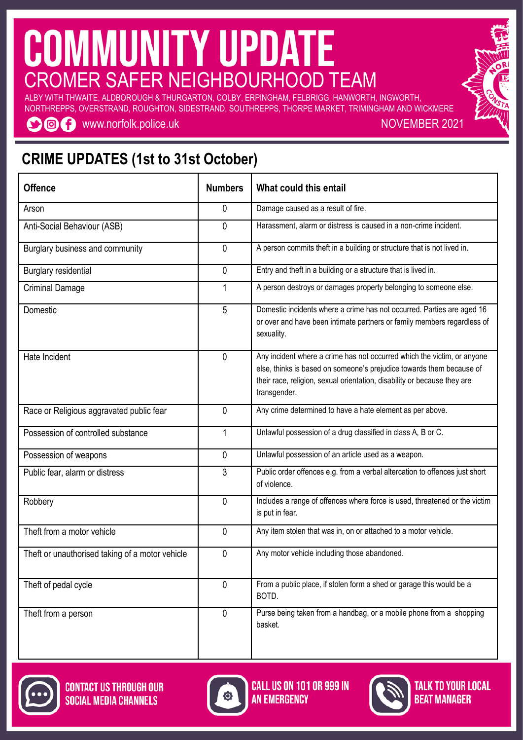## *IMUNITY UPDATE* G ROMER SAFER NEIGHBOURHOOD TEAM

ALBY WITH THWAITE, ALDBOROUGH & THURGARTON, COLBY, ERPINGHAM, FELBRIGG, HANWORTH, INGWORTH, NORTHREPPS, OVERSTRAND, ROUGHTON, SIDESTRAND, SOUTHREPPS, THORPE MARKET, TRIMINGHAM AND WICKMERE

**OOC** www.norfolk.police.uk

NOVEMBER 2021

## **CRIME UPDATES (1st to 31st October)**

| <b>Offence</b>                                  | <b>Numbers</b> | What could this entail                                                                                                                                                                                                                      |  |  |  |  |
|-------------------------------------------------|----------------|---------------------------------------------------------------------------------------------------------------------------------------------------------------------------------------------------------------------------------------------|--|--|--|--|
| Arson                                           | 0              | Damage caused as a result of fire.                                                                                                                                                                                                          |  |  |  |  |
| Anti-Social Behaviour (ASB)                     | 0              | Harassment, alarm or distress is caused in a non-crime incident.                                                                                                                                                                            |  |  |  |  |
| Burglary business and community                 | 0              | A person commits theft in a building or structure that is not lived in.                                                                                                                                                                     |  |  |  |  |
| <b>Burglary residential</b>                     | 0              | Entry and theft in a building or a structure that is lived in.                                                                                                                                                                              |  |  |  |  |
| <b>Criminal Damage</b>                          | $\mathbf{1}$   | A person destroys or damages property belonging to someone else.                                                                                                                                                                            |  |  |  |  |
| Domestic                                        | 5              | Domestic incidents where a crime has not occurred. Parties are aged 16<br>or over and have been intimate partners or family members regardless of<br>sexuality.                                                                             |  |  |  |  |
| Hate Incident                                   | 0              | Any incident where a crime has not occurred which the victim, or anyone<br>else, thinks is based on someone's prejudice towards them because of<br>their race, religion, sexual orientation, disability or because they are<br>transgender. |  |  |  |  |
| Race or Religious aggravated public fear        | $\mathbf 0$    | Any crime determined to have a hate element as per above.                                                                                                                                                                                   |  |  |  |  |
| Possession of controlled substance              | $\mathbf{1}$   | Unlawful possession of a drug classified in class A, B or C.                                                                                                                                                                                |  |  |  |  |
| Possession of weapons                           | 0              | Unlawful possession of an article used as a weapon.                                                                                                                                                                                         |  |  |  |  |
| Public fear, alarm or distress                  | 3              | Public order offences e.g. from a verbal altercation to offences just short<br>of violence.                                                                                                                                                 |  |  |  |  |
| Robbery                                         | 0              | Includes a range of offences where force is used, threatened or the victim<br>is put in fear.                                                                                                                                               |  |  |  |  |
| Theft from a motor vehicle                      | 0              | Any item stolen that was in, on or attached to a motor vehicle.                                                                                                                                                                             |  |  |  |  |
| Theft or unauthorised taking of a motor vehicle | 0              | Any motor vehicle including those abandoned.                                                                                                                                                                                                |  |  |  |  |
| Theft of pedal cycle                            | 0              | From a public place, if stolen form a shed or garage this would be a<br>BOTD.                                                                                                                                                               |  |  |  |  |
| Theft from a person                             | $\mathbf 0$    | Purse being taken from a handbag, or a mobile phone from a shopping<br>basket.                                                                                                                                                              |  |  |  |  |





**CALL US ON 101 OR 999 IN AN EMERGENCY** 



**TALK TO YOUR LOCAL BEAT MANAGER**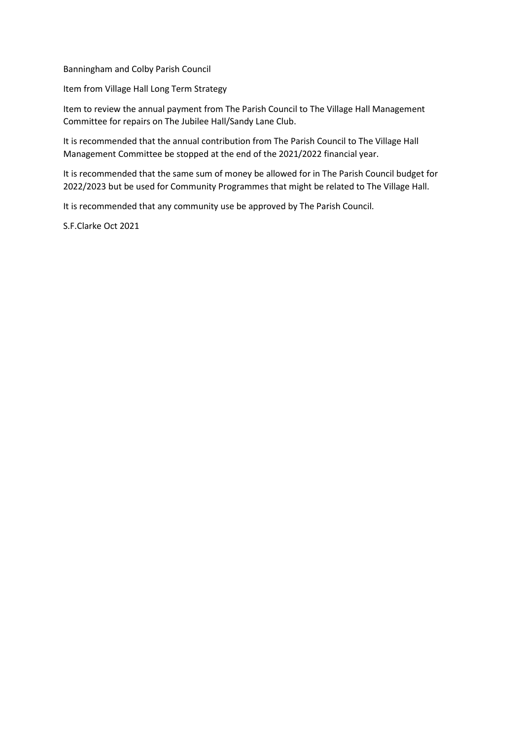Banningham and Colby Parish Council

Item from Village Hall Long Term Strategy

Item to review the annual payment from The Parish Council to The Village Hall Management Committee for repairs on The Jubilee Hall/Sandy Lane Club.

It is recommended that the annual contribution from The Parish Council to The Village Hall Management Committee be stopped at the end of the 2021/2022 financial year.

It is recommended that the same sum of money be allowed for in The Parish Council budget for 2022/2023 but be used for Community Programmes that might be related to The Village Hall.

It is recommended that any community use be approved by The Parish Council.

S.F.Clarke Oct 2021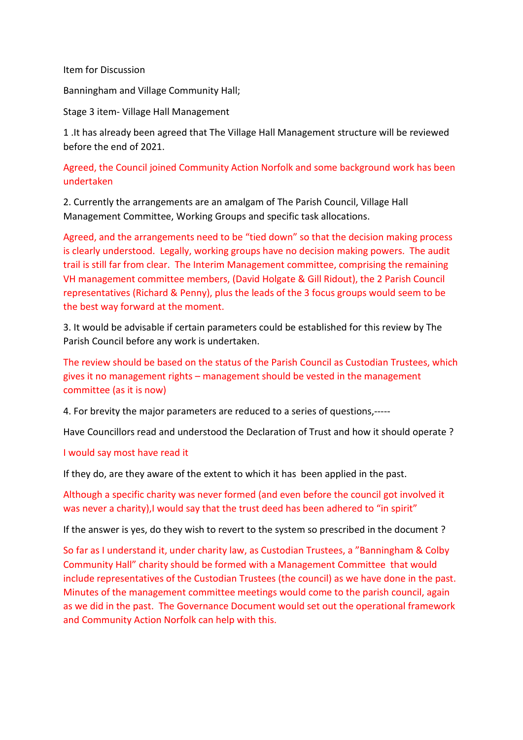Item for Discussion

Banningham and Village Community Hall;

Stage 3 item- Village Hall Management

1 .It has already been agreed that The Village Hall Management structure will be reviewed before the end of 2021.

Agreed, the Council joined Community Action Norfolk and some background work has been undertaken

2. Currently the arrangements are an amalgam of The Parish Council, Village Hall Management Committee, Working Groups and specific task allocations.

Agreed, and the arrangements need to be "tied down" so that the decision making process is clearly understood. Legally, working groups have no decision making powers. The audit trail is still far from clear. The Interim Management committee, comprising the remaining VH management committee members, (David Holgate & Gill Ridout), the 2 Parish Council representatives (Richard & Penny), plus the leads of the 3 focus groups would seem to be the best way forward at the moment.

3. It would be advisable if certain parameters could be established for this review by The Parish Council before any work is undertaken.

The review should be based on the status of the Parish Council as Custodian Trustees, which gives it no management rights – management should be vested in the management committee (as it is now)

4. For brevity the major parameters are reduced to a series of questions,-----

Have Councillors read and understood the Declaration of Trust and how it should operate ?

#### I would say most have read it

If they do, are they aware of the extent to which it has been applied in the past.

Although a specific charity was never formed (and even before the council got involved it was never a charity), I would say that the trust deed has been adhered to "in spirit"

If the answer is yes, do they wish to revert to the system so prescribed in the document ?

So far as I understand it, under charity law, as Custodian Trustees, a "Banningham & Colby Community Hall" charity should be formed with a Management Committee that would include representatives of the Custodian Trustees (the council) as we have done in the past. Minutes of the management committee meetings would come to the parish council, again as we did in the past. The Governance Document would set out the operational framework and Community Action Norfolk can help with this.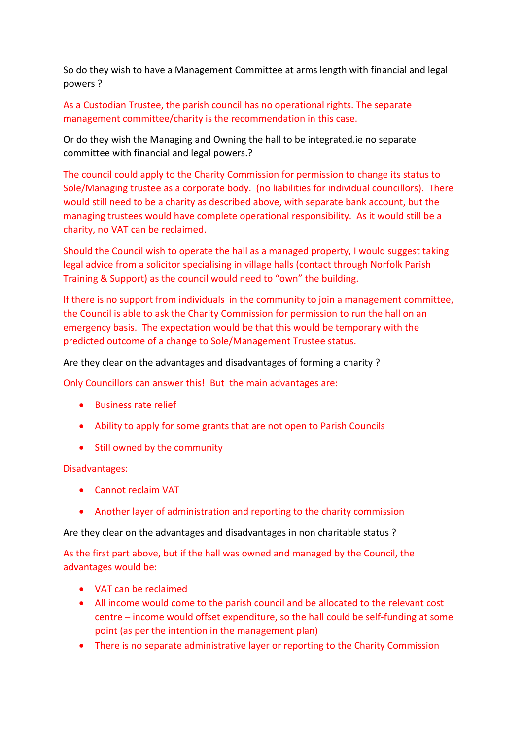So do they wish to have a Management Committee at arms length with financial and legal powers ?

As a Custodian Trustee, the parish council has no operational rights. The separate management committee/charity is the recommendation in this case.

Or do they wish the Managing and Owning the hall to be integrated.ie no separate committee with financial and legal powers.?

The council could apply to the Charity Commission for permission to change its status to Sole/Managing trustee as a corporate body. (no liabilities for individual councillors). There would still need to be a charity as described above, with separate bank account, but the managing trustees would have complete operational responsibility. As it would still be a charity, no VAT can be reclaimed.

Should the Council wish to operate the hall as a managed property, I would suggest taking legal advice from a solicitor specialising in village halls (contact through Norfolk Parish Training & Support) as the council would need to "own" the building.

If there is no support from individuals in the community to join a management committee, the Council is able to ask the Charity Commission for permission to run the hall on an emergency basis. The expectation would be that this would be temporary with the predicted outcome of a change to Sole/Management Trustee status.

Are they clear on the advantages and disadvantages of forming a charity ?

Only Councillors can answer this! But the main advantages are:

- Business rate relief
- Ability to apply for some grants that are not open to Parish Councils
- Still owned by the community

Disadvantages:

- Cannot reclaim VAT
- Another layer of administration and reporting to the charity commission

Are they clear on the advantages and disadvantages in non charitable status ?

As the first part above, but if the hall was owned and managed by the Council, the advantages would be:

- VAT can be reclaimed
- All income would come to the parish council and be allocated to the relevant cost centre – income would offset expenditure, so the hall could be self-funding at some point (as per the intention in the management plan)
- There is no separate administrative layer or reporting to the Charity Commission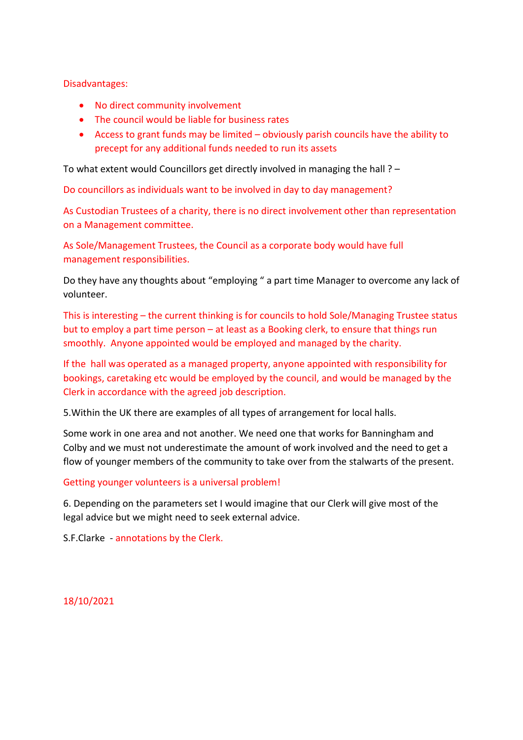Disadvantages:

- No direct community involvement
- The council would be liable for business rates
- Access to grant funds may be limited obviously parish councils have the ability to precept for any additional funds needed to run its assets

To what extent would Councillors get directly involved in managing the hall ? –

Do councillors as individuals want to be involved in day to day management?

As Custodian Trustees of a charity, there is no direct involvement other than representation on a Management committee.

As Sole/Management Trustees, the Council as a corporate body would have full management responsibilities.

Do they have any thoughts about "employing " a part time Manager to overcome any lack of volunteer.

This is interesting – the current thinking is for councils to hold Sole/Managing Trustee status but to employ a part time person – at least as a Booking clerk, to ensure that things run smoothly. Anyone appointed would be employed and managed by the charity.

If the hall was operated as a managed property, anyone appointed with responsibility for bookings, caretaking etc would be employed by the council, and would be managed by the Clerk in accordance with the agreed job description.

5.Within the UK there are examples of all types of arrangement for local halls.

Some work in one area and not another. We need one that works for Banningham and Colby and we must not underestimate the amount of work involved and the need to get a flow of younger members of the community to take over from the stalwarts of the present.

Getting younger volunteers is a universal problem!

6. Depending on the parameters set I would imagine that our Clerk will give most of the legal advice but we might need to seek external advice.

S.F.Clarke - annotations by the Clerk.

18/10/2021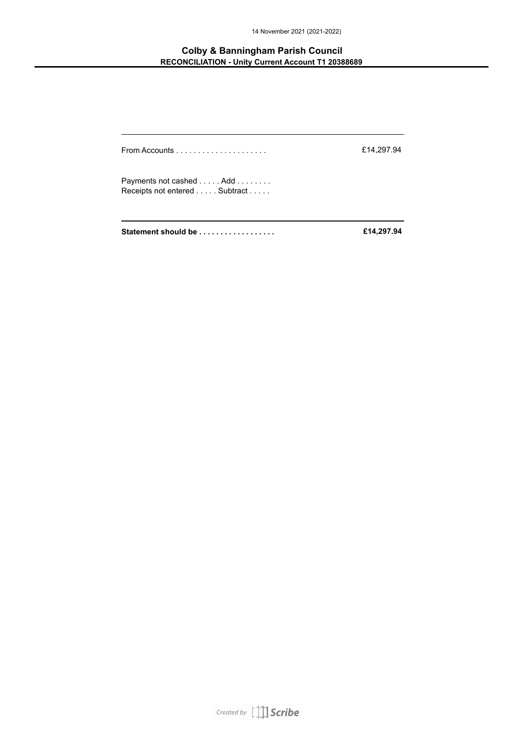14 November 2021 (2021-2022)

#### **Colby & Banningham Parish Council RECONCILIATION - Unity Current Account T1 20388689**

| From Accounts $\ldots \ldots \ldots \ldots \ldots \ldots$ | £14,297.94 |
|-----------------------------------------------------------|------------|
| Payments not cashed Add<br>Receipts not entered Subtract  |            |
| Statement should be                                       | £14,297.94 |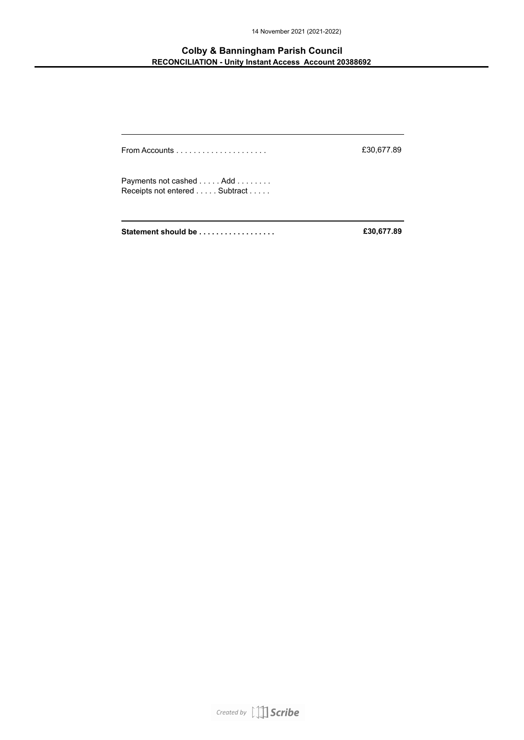14 November 2021 (2021-2022)

#### **Colby & Banningham Parish Council RECONCILIATION - Unity Instant Access Account 20388692**

| Statement should be                                       | £30,677.89 |
|-----------------------------------------------------------|------------|
| Payments not cashed  Add<br>Receipts not entered Subtract |            |
| From Accounts $\ldots \ldots \ldots \ldots \ldots \ldots$ | £30,677.89 |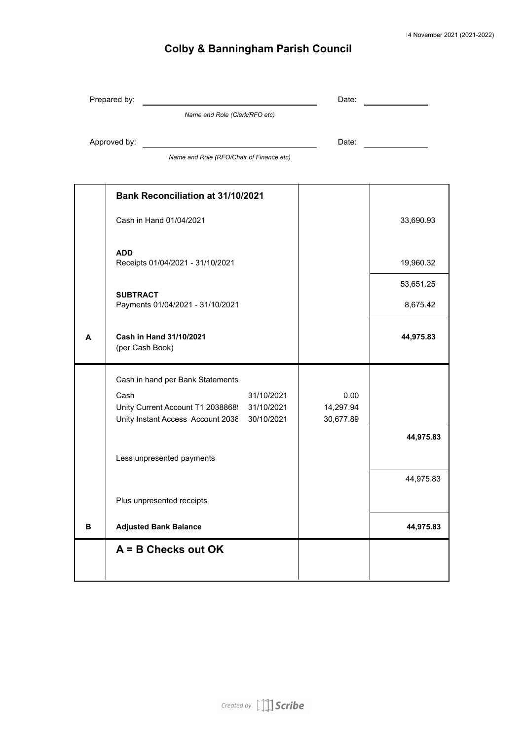|   | Prepared by:                                                                                       | Date:                  |           |
|---|----------------------------------------------------------------------------------------------------|------------------------|-----------|
|   | Name and Role (Clerk/RFO etc)                                                                      |                        |           |
|   | Approved by:                                                                                       | Date:                  |           |
|   | Name and Role (RFO/Chair of Finance etc)                                                           |                        |           |
|   | <b>Bank Reconciliation at 31/10/2021</b>                                                           |                        |           |
|   |                                                                                                    |                        |           |
|   | Cash in Hand 01/04/2021                                                                            |                        | 33,690.93 |
|   |                                                                                                    |                        |           |
|   | <b>ADD</b><br>Receipts 01/04/2021 - 31/10/2021                                                     |                        | 19,960.32 |
|   |                                                                                                    |                        | 53,651.25 |
|   | <b>SUBTRACT</b><br>Payments 01/04/2021 - 31/10/2021                                                |                        | 8,675.42  |
|   |                                                                                                    |                        |           |
| A | Cash in Hand 31/10/2021<br>(per Cash Book)                                                         |                        | 44,975.83 |
|   |                                                                                                    |                        |           |
|   | Cash in hand per Bank Statements                                                                   |                        |           |
|   | 31/10/2021<br>Cash                                                                                 | 0.00                   |           |
|   | Unity Current Account T1 2038868!<br>31/10/2021<br>Unity Instant Access Account 2038<br>30/10/2021 | 14,297.94<br>30,677.89 |           |
|   |                                                                                                    |                        | 44,975.83 |
|   |                                                                                                    |                        |           |
|   | Less unpresented payments                                                                          |                        |           |
|   |                                                                                                    |                        | 44,975.83 |
|   | Plus unpresented receipts                                                                          |                        |           |
| в | <b>Adjusted Bank Balance</b>                                                                       |                        | 44,975.83 |

**A = B Checks out OK**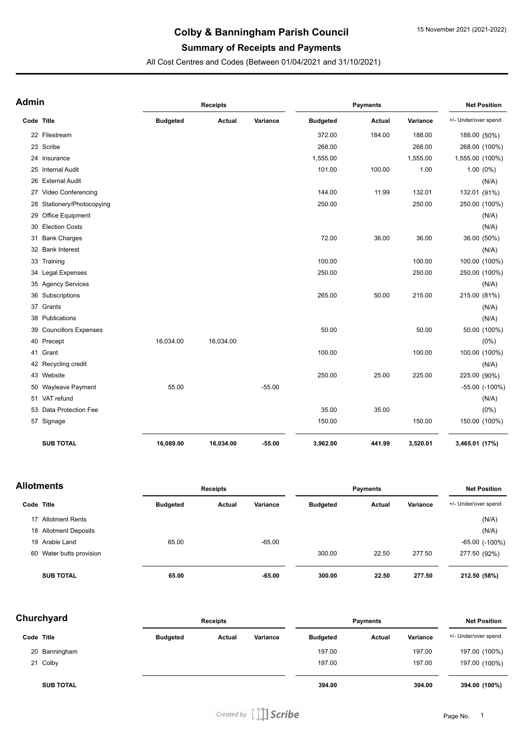### **Summary of Receipts and Payments**

All Cost Centres and Codes (Between 01/04/2021 and 31/10/2021)

| Admin      |                            | <b>Receipts</b> |           |          | <b>Payments</b> |               |          | <b>Net Position</b>  |  |
|------------|----------------------------|-----------------|-----------|----------|-----------------|---------------|----------|----------------------|--|
| Code Title |                            | <b>Budgeted</b> | Actual    | Variance | <b>Budgeted</b> | <b>Actual</b> | Variance | +/- Under/over spend |  |
|            | 22 Filestream              |                 |           |          | 372.00          | 184.00        | 188.00   | 188.00 (50%)         |  |
|            | 23 Scribe                  |                 |           |          | 268.00          |               | 268.00   | 268.00 (100%)        |  |
|            | 24 Insurance               |                 |           |          | 1,555.00        |               | 1,555.00 | 1,555.00 (100%)      |  |
| 25         | <b>Internal Audit</b>      |                 |           |          | 101.00          | 100.00        | 1.00     | $1.00(0\%)$          |  |
|            | 26 External Audit          |                 |           |          |                 |               |          | (N/A)                |  |
|            | 27 Video Conferencing      |                 |           |          | 144.00          | 11.99         | 132.01   | 132.01 (91%)         |  |
|            | 28 Stationery/Photocopying |                 |           |          | 250.00          |               | 250.00   | 250.00 (100%)        |  |
|            | 29 Office Equipment        |                 |           |          |                 |               |          | (N/A)                |  |
| 30         | <b>Election Costs</b>      |                 |           |          |                 |               |          | (N/A)                |  |
| 31         | <b>Bank Charges</b>        |                 |           |          | 72.00           | 36.00         | 36.00    | 36.00 (50%)          |  |
|            | 32 Bank Interest           |                 |           |          |                 |               |          | (N/A)                |  |
|            | 33 Training                |                 |           |          | 100.00          |               | 100.00   | 100.00 (100%)        |  |
|            | 34 Legal Expenses          |                 |           |          | 250.00          |               | 250.00   | 250.00 (100%)        |  |
|            | 35 Agency Services         |                 |           |          |                 |               |          | (N/A)                |  |
|            | 36 Subscriptions           |                 |           |          | 265.00          | 50.00         | 215.00   | 215.00 (81%)         |  |
|            | 37 Grants                  |                 |           |          |                 |               |          | (N/A)                |  |
|            | 38 Publications            |                 |           |          |                 |               |          | (N/A)                |  |
|            | 39 Councillors Expenses    |                 |           |          | 50.00           |               | 50.00    | 50.00 (100%)         |  |
|            | 40 Precept                 | 16,034.00       | 16,034.00 |          |                 |               |          | $(0\%)$              |  |
|            | 41 Grant                   |                 |           |          | 100.00          |               | 100.00   | 100.00 (100%)        |  |
|            | 42 Recycling credit        |                 |           |          |                 |               |          | (N/A)                |  |
|            | 43 Website                 |                 |           |          | 250.00          | 25.00         | 225.00   | 225.00 (90%)         |  |
|            | 50 Wayleave Payment        | 55.00           |           | $-55.00$ |                 |               |          | $-55.00$ $(-100\%)$  |  |
|            | 51 VAT refund              |                 |           |          |                 |               |          | (N/A)                |  |
|            | 53 Data Protection Fee     |                 |           |          | 35.00           | 35.00         |          | $(0\%)$              |  |
|            | 57 Signage                 |                 |           |          | 150.00          |               | 150.00   | 150.00 (100%)        |  |
|            | <b>SUB TOTAL</b>           | 16,089.00       | 16,034.00 | $-55.00$ | 3,962.00        | 441.99        | 3,520.01 | 3,465.01 (17%)       |  |

| <b>Allotments</b> |                          |                 | <b>Receipts</b> |          |                 | <b>Payments</b> |          |                      |
|-------------------|--------------------------|-----------------|-----------------|----------|-----------------|-----------------|----------|----------------------|
|                   | Code Title               | <b>Budgeted</b> | Actual          | Variance | <b>Budgeted</b> | Actual          | Variance | +/- Under/over spend |
| 17                | <b>Allotment Rents</b>   |                 |                 |          |                 |                 |          | (N/A)                |
|                   | 18 Allotment Deposits    |                 |                 |          |                 |                 |          | (N/A)                |
|                   | 19 Arable Land           | 65.00           |                 | $-65.00$ |                 |                 |          | $-65.00$ $(-100\%)$  |
|                   | 60 Water butts provision |                 |                 |          | 300.00          | 22.50           | 277.50   | 277.50 (92%)         |
|                   | <b>SUB TOTAL</b>         | 65.00           |                 | $-65.00$ | 300.00          | 22.50           | 277.50   | 212.50 (58%)         |

| Churchyard |                  | <b>Receipts</b> |        |          | <b>Payments</b> |               |          | <b>Net Position</b>  |  |
|------------|------------------|-----------------|--------|----------|-----------------|---------------|----------|----------------------|--|
| Code Title |                  | <b>Budgeted</b> | Actual | Variance | <b>Budgeted</b> | <b>Actual</b> | Variance | +/- Under/over spend |  |
|            | 20 Banningham    |                 |        |          | 197.00          |               | 197.00   | 197.00 (100%)        |  |
|            | 21 Colby         |                 |        |          | 197.00          |               | 197.00   | 197.00 (100%)        |  |
|            | <b>SUB TOTAL</b> |                 |        |          | 394.00          |               | 394.00   | 394.00 (100%)        |  |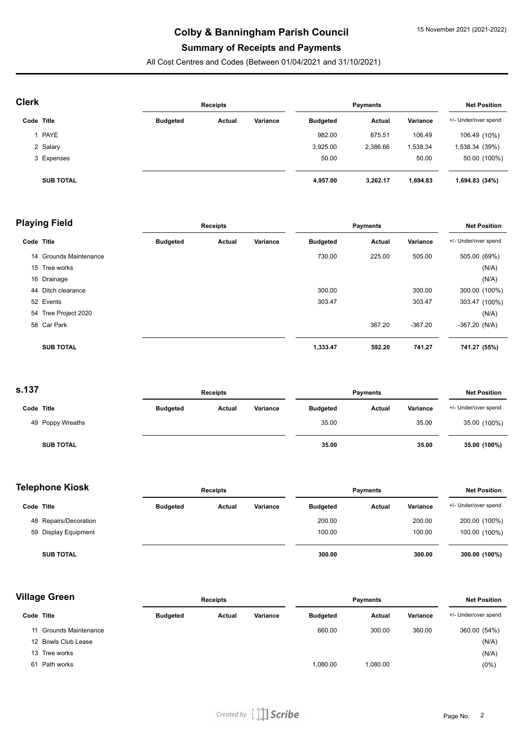#### **Summary of Receipts and Payments**

All Cost Centres and Codes (Between 01/04/2021 and 31/10/2021)

| <b>Clerk</b> |                  | <b>Receipts</b> |        |          | <b>Payments</b> |          |          | <b>Net Position</b>  |  |
|--------------|------------------|-----------------|--------|----------|-----------------|----------|----------|----------------------|--|
| Code Title   |                  | <b>Budgeted</b> | Actual | Variance | <b>Budgeted</b> | Actual   | Variance | +/- Under/over spend |  |
|              | PAYE             |                 |        |          | 982.00          | 875.51   | 106.49   | 106.49 (10%)         |  |
|              | 2 Salary         |                 |        |          | 3,925.00        | 2,386.66 | 1,538.34 | 1,538.34 (39%)       |  |
|              | 3 Expenses       |                 |        |          | 50.00           |          | 50.00    | 50.00 (100%)         |  |
|              | <b>SUB TOTAL</b> |                 |        |          | 4,957.00        | 3,262.17 | 1,694.83 | 1,694.83 (34%)       |  |

|            | <b>Playing Field</b>   | Receipts        |        |          | <b>Payments</b> |        |           | <b>Net Position</b>  |  |
|------------|------------------------|-----------------|--------|----------|-----------------|--------|-----------|----------------------|--|
| Code Title |                        | <b>Budgeted</b> | Actual | Variance | <b>Budgeted</b> | Actual | Variance  | +/- Under/over spend |  |
|            | 14 Grounds Maintenance |                 |        |          | 730.00          | 225.00 | 505.00    | 505.00 (69%)         |  |
|            | 15 Tree works          |                 |        |          |                 |        |           | (N/A)                |  |
|            | 16 Drainage            |                 |        |          |                 |        |           | (N/A)                |  |
|            | 44 Ditch clearance     |                 |        |          | 300.00          |        | 300.00    | 300.00 (100%)        |  |
|            | 52 Events              |                 |        |          | 303.47          |        | 303.47    | 303.47 (100%)        |  |
|            | 54 Tree Project 2020   |                 |        |          |                 |        |           | (N/A)                |  |
|            | 58 Car Park            |                 |        |          |                 | 367.20 | $-367.20$ | $-367.20$ (N/A)      |  |
|            | <b>SUB TOTAL</b>       |                 |        |          | 1,333.47        | 592.20 | 741.27    | 741.27 (55%)         |  |
|            |                        |                 |        |          |                 |        |           |                      |  |

**s.137**

| וטו.             | <b>Receipts</b> |        |          | <b>Payments</b> |        |          | <b>Net Position</b>  |  |
|------------------|-----------------|--------|----------|-----------------|--------|----------|----------------------|--|
| Code Title       | <b>Budgeted</b> | Actual | Variance | <b>Budgeted</b> | Actual | Variance | +/- Under/over spend |  |
| 49 Poppy Wreaths |                 |        |          | 35.00           |        | 35.00    | 35.00 (100%)         |  |
| <b>SUB TOTAL</b> |                 |        |          | 35.00           |        | 35.00    | 35.00 (100%)         |  |

| <b>Telephone Kiosk</b> |                       | <b>Receipts</b> |        |          | <b>Payments</b> |        |          | <b>Net Position</b>  |  |
|------------------------|-----------------------|-----------------|--------|----------|-----------------|--------|----------|----------------------|--|
| Code Title             |                       | <b>Budgeted</b> | Actual | Variance | <b>Budgeted</b> | Actual | Variance | +/- Under/over spend |  |
|                        | 48 Repairs/Decoration |                 |        |          | 200.00          |        | 200.00   | 200.00 (100%)        |  |
|                        | 59 Display Equipment  |                 |        |          | 100.00          |        | 100.00   | 100.00 (100%)        |  |
|                        | <b>SUB TOTAL</b>      |                 |        |          | 300.00          |        | 300.00   | 300.00 (100%)        |  |

| <b>Village Green</b> |                        | <b>Receipts</b> |        |          |                 | <b>Payments</b> |          |                      |
|----------------------|------------------------|-----------------|--------|----------|-----------------|-----------------|----------|----------------------|
| Code Title           |                        | <b>Budgeted</b> | Actual | Variance | <b>Budgeted</b> | <b>Actual</b>   | Variance | +/- Under/over spend |
|                      | 11 Grounds Maintenance |                 |        |          | 660.00          | 300.00          | 360.00   | 360.00 (54%)         |
|                      | 12 Bowls Club Lease    |                 |        |          |                 |                 |          | (N/A)                |
|                      | 13 Tree works          |                 |        |          |                 |                 |          | (N/A)                |
| 61                   | Path works             |                 |        |          | 1,080.00        | 1,080.00        |          | $(0\%)$              |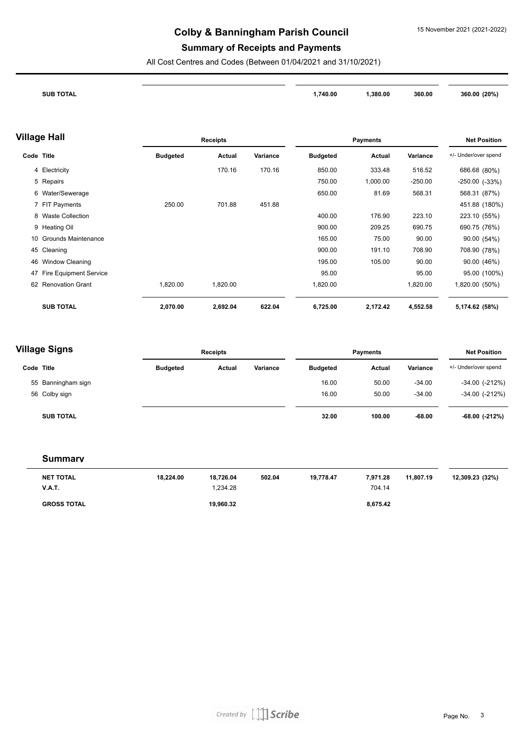#### **Summary of Receipts and Payments**

All Cost Centres and Codes (Between 01/04/2021 and 31/10/2021)

| <b>RTOTAL</b><br>$7$ UR.<br>the contract of the contract of the contract of<br>__ | ,740.00 | ,380.00 | 360.00 | 360.00 (20%) |
|-----------------------------------------------------------------------------------|---------|---------|--------|--------------|
|                                                                                   |         |         |        |              |

#### **Village Hall**

|            | /illage Hall               |                 | <b>Receipts</b> |          |                 | <b>Payments</b> |           | <b>Net Position</b>  |
|------------|----------------------------|-----------------|-----------------|----------|-----------------|-----------------|-----------|----------------------|
| Code Title |                            | <b>Budgeted</b> | Actual          | Variance | <b>Budgeted</b> | Actual          | Variance  | +/- Under/over spend |
|            | 4 Electricity              |                 | 170.16          | 170.16   | 850.00          | 333.48          | 516.52    | 686.68 (80%)         |
|            | 5 Repairs                  |                 |                 |          | 750.00          | 1,000.00        | $-250.00$ | $-250.00$ $(-33%)$   |
|            | 6 Water/Sewerage           |                 |                 |          | 650.00          | 81.69           | 568.31    | 568.31 (87%)         |
|            | 7 FIT Payments             | 250.00          | 701.88          | 451.88   |                 |                 |           | 451.88 (180%)        |
|            | 8 Waste Collection         |                 |                 |          | 400.00          | 176.90          | 223.10    | 223.10 (55%)         |
|            | 9 Heating Oil              |                 |                 |          | 900.00          | 209.25          | 690.75    | 690.75 (76%)         |
| 10         | <b>Grounds Maintenance</b> |                 |                 |          | 165.00          | 75.00           | 90.00     | 90.00 (54%)          |
|            | 45 Cleaning                |                 |                 |          | 900.00          | 191.10          | 708.90    | 708.90 (78%)         |
|            | 46 Window Cleaning         |                 |                 |          | 195.00          | 105.00          | 90.00     | 90.00 (46%)          |
|            | 47 Fire Equipment Service  |                 |                 |          | 95.00           |                 | 95.00     | 95.00 (100%)         |
|            | 62 Renovation Grant        | 1,820.00        | 1,820.00        |          | 1,820.00        |                 | 1,820.00  | 1,820.00 (50%)       |
|            | <b>SUB TOTAL</b>           | 2,070.00        | 2,692.04        | 622.04   | 6,725.00        | 2,172.42        | 4,552.58  | 5,174.62 (58%)       |

### **Village Signs**

| village Signs      |                 | <b>Receipts</b> |          |                 | <b>Payments</b> |          |                      |
|--------------------|-----------------|-----------------|----------|-----------------|-----------------|----------|----------------------|
| Code Title         | <b>Budgeted</b> | <b>Actual</b>   | Variance | <b>Budgeted</b> | Actual          | Variance | +/- Under/over spend |
| 55 Banningham sign |                 |                 |          | 16.00           | 50.00           | $-34.00$ | $-34.00$ $(-212%)$   |
| 56 Colby sign      |                 |                 |          | 16.00           | 50.00           | $-34.00$ | $-34.00$ $(-212%)$   |
| <b>SUB TOTAL</b>   |                 |                 |          | 32.00           | 100.00          | $-68.00$ | -68.00 (-212%)       |

#### **Summary**

| <b>NET TOTAL</b>   | 18.224.00 | 18.726.04 | 502.04 | 19.778.47 | 7.971.28 | 11.807.19 | 12,309.23 (32%) |
|--------------------|-----------|-----------|--------|-----------|----------|-----------|-----------------|
| <b>V.A.T.</b>      |           | .234.28   |        |           | 704.14   |           |                 |
| <b>GROSS TOTAL</b> |           | 19,960.32 |        |           | 8,675.42 |           |                 |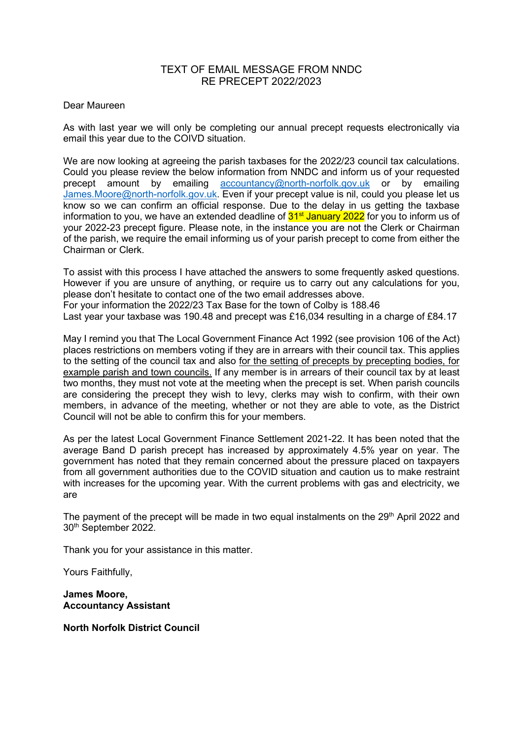### TEXT OF EMAIL MESSAGE FROM NNDC RE PRECEPT 2022/2023

#### Dear Maureen

As with last year we will only be completing our annual precept requests electronically via email this year due to the COIVD situation.

We are now looking at agreeing the parish taxbases for the 2022/23 council tax calculations. Could you please review the below information from NNDC and inform us of your requested precept amount by emailing **[accountancy@north-norfolk.gov.uk](mailto:accountancy@north-norfolk.gov.uk)** or by emailing [James.Moore@north-norfolk.gov.uk.](mailto:James.Moore@north-norfolk.gov.uk) Even if your precept value is nil, could you please let us know so we can confirm an official response. Due to the delay in us getting the taxbase information to you, we have an extended deadline of 31<sup>st</sup> January 2022 for you to inform us of your 2022-23 precept figure. Please note, in the instance you are not the Clerk or Chairman of the parish, we require the email informing us of your parish precept to come from either the Chairman or Clerk.

To assist with this process I have attached the answers to some frequently asked questions. However if you are unsure of anything, or require us to carry out any calculations for you, please don't hesitate to contact one of the two email addresses above. For your information the 2022/23 Tax Base for the town of Colby is 188.46 Last year your taxbase was 190.48 and precept was £16,034 resulting in a charge of £84.17

May I remind you that The Local Government Finance Act 1992 (see provision 106 of the Act) places restrictions on members voting if they are in arrears with their council tax. This applies to the setting of the council tax and also for the setting of precepts by precepting bodies, for example parish and town councils. If any member is in arrears of their council tax by at least two months, they must not vote at the meeting when the precept is set. When parish councils are considering the precept they wish to levy, clerks may wish to confirm, with their own members, in advance of the meeting, whether or not they are able to vote, as the District Council will not be able to confirm this for your members.

As per the latest Local Government Finance Settlement 2021-22. It has been noted that the average Band D parish precept has increased by approximately 4.5% year on year. The government has noted that they remain concerned about the pressure placed on taxpayers from all government authorities due to the COVID situation and caution us to make restraint with increases for the upcoming year. With the current problems with gas and electricity, we are

The payment of the precept will be made in two equal instalments on the 29<sup>th</sup> April 2022 and 30th September 2022.

Thank you for your assistance in this matter.

Yours Faithfully,

**James Moore, Accountancy Assistant**

**North Norfolk District Council**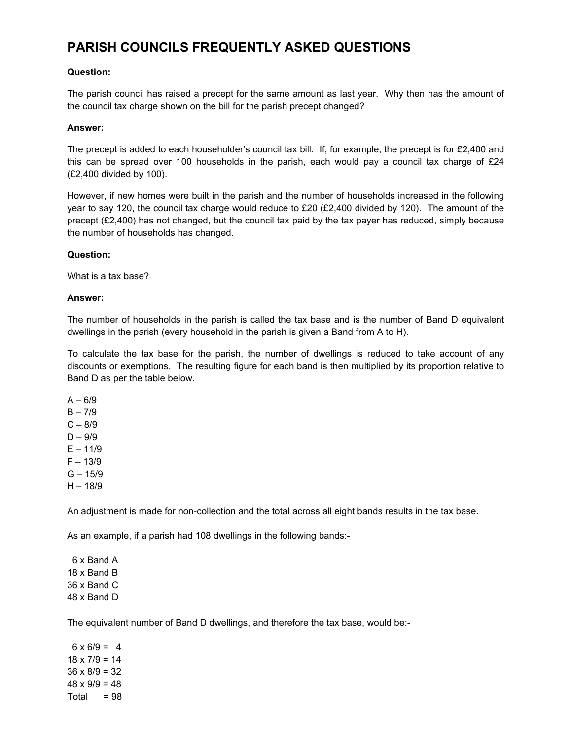## **PARISH COUNCILS FREQUENTLY ASKED QUESTIONS**

#### **Question:**

The parish council has raised a precept for the same amount as last year. Why then has the amount of the council tax charge shown on the bill for the parish precept changed?

#### **Answer:**

The precept is added to each householder's council tax bill. If, for example, the precept is for £2,400 and this can be spread over 100 households in the parish, each would pay a council tax charge of  $E24$ (£2,400 divided by 100).

However, if new homes were built in the parish and the number of households increased in the following year to say 120, the council tax charge would reduce to £20 (£2,400 divided by 120). The amount of the precept (£2,400) has not changed, but the council tax paid by the tax payer has reduced, simply because the number of households has changed.

#### **Question:**

What is a tax base?

#### **Answer:**

The number of households in the parish is called the tax base and is the number of Band D equivalent dwellings in the parish (every household in the parish is given a Band from A to H).

To calculate the tax base for the parish, the number of dwellings is reduced to take account of any discounts or exemptions. The resulting figure for each band is then multiplied by its proportion relative to Band D as per the table below.

 $A - 6/9$ 

- $B 7/9$
- $C 8/9$

 $D - 9/9$ 

 $E - 11/9$ 

 $F - 13/9$ 

- $G 15/9$
- $H 18/9$

An adjustment is made for non-collection and the total across all eight bands results in the tax base.

As an example, if a parish had 108 dwellings in the following bands:-

 6 x Band A 18 x Band B 36 x Band C 48 x Band D

The equivalent number of Band D dwellings, and therefore the tax base, would be:-

 $6 \times 6/9 = 4$  $18 \times 7/9 = 14$  $36 \times 8/9 = 32$  $48 \times 9/9 = 48$  $Total = 98$